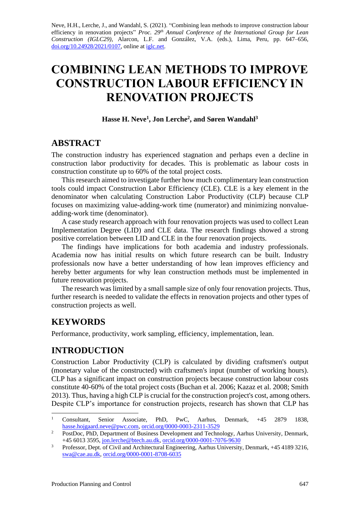Neve, H.H., Lerche, J., and Wandahl, S. (2021). "Combining lean methods to improve construction labour efficiency in renovation projects" *Proc.* 29<sup>th</sup> Annual Conference of the International Group for Lean *Construction (IGLC29),* Alarcon, L.F. and González, V.A. (eds.)*,* Lima, Peru, pp. 647–656, [doi.org/10.24928/2021/0107,](https://doi.org/10.24928/2021/0107) online a[t iglc.net.](http://iglc.net/)

# **COMBINING LEAN METHODS TO IMPROVE CONSTRUCTION LABOUR EFFICIENCY IN RENOVATION PROJECTS**

**Hasse H. Neve<sup>1</sup> , Jon Lerche<sup>2</sup> , and Søren Wandahl<sup>3</sup>**

## **ABSTRACT**

The construction industry has experienced stagnation and perhaps even a decline in construction labor productivity for decades. This is problematic as labour costs in construction constitute up to 60% of the total project costs.

This research aimed to investigate further how much complimentary lean construction tools could impact Construction Labor Efficiency (CLE). CLE is a key element in the denominator when calculating Construction Labor Productivity (CLP) because CLP focuses on maximizing value-adding-work time (numerator) and minimizing nonvalueadding-work time (denominator).

A case study research approach with four renovation projects was used to collect Lean Implementation Degree (LID) and CLE data. The research findings showed a strong positive correlation between LID and CLE in the four renovation projects.

The findings have implications for both academia and industry professionals. Academia now has initial results on which future research can be built. Industry professionals now have a better understanding of how lean improves efficiency and hereby better arguments for why lean construction methods must be implemented in future renovation projects.

The research was limited by a small sample size of only four renovation projects. Thus, further research is needed to validate the effects in renovation projects and other types of construction projects as well.

# **KEYWORDS**

Performance, productivity, work sampling, efficiency, implementation, lean.

# **INTRODUCTION**

Construction Labor Productivity (CLP) is calculated by dividing craftsmen's output (monetary value of the constructed) with craftsmen's input (number of working hours). CLP has a significant impact on construction projects because construction labour costs constitute 40-60% of the total project costs (Buchan et al. 2006; Kazaz et al. 2008; Smith 2013). Thus, having a high CLP is crucial for the construction project's cost, among others. Despite CLP's importance for construction projects, research has shown that CLP has

<sup>1</sup> Consultant, Senior Associate, PhD, PwC, Aarhus, Denmark, +45 2879 1838, [hasse.hojgaard.neve@pwc.com,](mailto:hasse.hojgaard.neve@pwc.com) [orcid.org/0000-0003-2311-3529](https://orcid.org/0000-0003-2311-3529)

<sup>&</sup>lt;sup>2</sup> PostDoc, PhD, Department of Business Development and Technology, Aarhus University, Denmark, +45 6013 3595, [jon.lerche@btech.au.dk,](mailto:jon.lerche@btech.au.dk) [orcid.org/0000-0001-7076-9630](https://orcid.org/0000-0001-7076-9630)

<sup>&</sup>lt;sup>3</sup> Professor, Dept. of Civil and Architectural Engineering, Aarhus University, Denmark, +45 4189 3216, [swa@cae.au.dk,](mailto:swa@cae.au.dk) [orcid.org/0000-0001-8708-6035](https://orcid.org/0000-0001-8708-6035)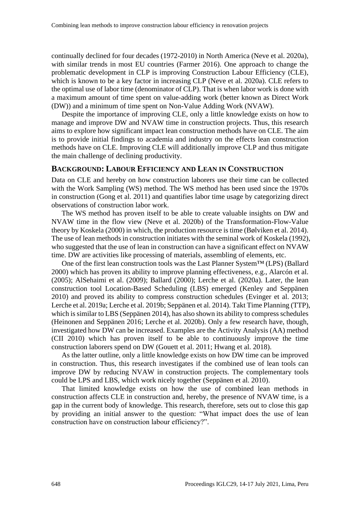continually declined for four decades (1972-2010) in North America (Neve et al. 2020a), with similar trends in most EU countries (Farmer 2016). One approach to change the problematic development in CLP is improving Construction Labour Efficiency (CLE), which is known to be a key factor in increasing CLP (Neve et al. 2020a). CLE refers to the optimal use of labor time (denominator of CLP). That is when labor work is done with a maximum amount of time spent on value-adding work (better known as Direct Work (DW)) and a minimum of time spent on Non-Value Adding Work (NVAW).

Despite the importance of improving CLE, only a little knowledge exists on how to manage and improve DW and NVAW time in construction projects. Thus, this research aims to explore how significant impact lean construction methods have on CLE. The aim is to provide initial findings to academia and industry on the effects lean construction methods have on CLE. Improving CLE will additionally improve CLP and thus mitigate the main challenge of declining productivity.

#### **BACKGROUND: LABOUR EFFICIENCY AND LEAN IN CONSTRUCTION**

Data on CLE and hereby on how construction laborers use their time can be collected with the Work Sampling (WS) method. The WS method has been used since the 1970s in construction (Gong et al. 2011) and quantifies labor time usage by categorizing direct observations of construction labor work.

The WS method has proven itself to be able to create valuable insights on DW and NVAW time in the flow view (Neve et al. 2020b) of the Transformation-Flow-Value theory by Koskela (2000) in which, the production resource is time (Bølviken et al. 2014). The use of lean methods in construction initiates with the seminal work of Koskela (1992), who suggested that the use of lean in construction can have a significant effect on NVAW time. DW are activities like processing of materials, assembling of elements, etc.

One of the first lean construction tools was the Last Planner System™ (LPS) (Ballard 2000) which has proven its ability to improve planning effectiveness, e.g., Alarcón et al. (2005); AlSehaimi et al. (2009); Ballard (2000); Lerche et al. (2020a). Later, the lean construction tool Location-Based Scheduling (LBS) emerged (Kenley and Seppänen 2010) and proved its ability to compress construction schedules (Evinger et al. 2013; Lerche et al. 2019a; Lerche et al. 2019b; Seppänen et al. 2014). Takt Time Planning (TTP), which is similar to LBS (Seppänen 2014), has also shown its ability to compress schedules (Heinonen and Seppänen 2016; Lerche et al. 2020b). Only a few research have, though, investigated how DW can be increased. Examples are the Activity Analysis (AA) method (CII 2010) which has proven itself to be able to continuously improve the time construction laborers spend on DW (Gouett et al. 2011; Hwang et al. 2018).

As the latter outline, only a little knowledge exists on how DW time can be improved in construction. Thus, this research investigates if the combined use of lean tools can improve DW by reducing NVAW in construction projects. The complementary tools could be LPS and LBS, which work nicely together (Seppänen et al. 2010).

That limited knowledge exists on how the use of combined lean methods in construction affects CLE in construction and, hereby, the presence of NVAW time, is a gap in the current body of knowledge. This research, therefore, sets out to close this gap by providing an initial answer to the question: "What impact does the use of lean construction have on construction labour efficiency?".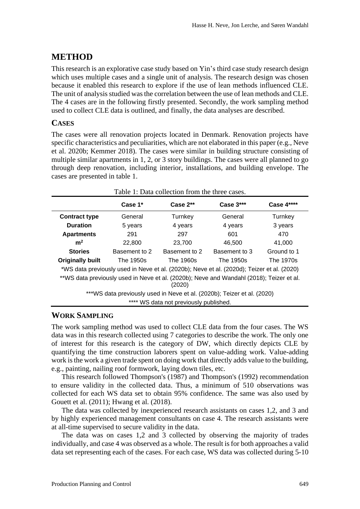# **METHOD**

This research is an explorative case study based on Yin's third case study research design which uses multiple cases and a single unit of analysis. The research design was chosen because it enabled this research to explore if the use of lean methods influenced CLE. The unit of analysis studied was the correlation between the use of lean methods and CLE. The 4 cases are in the following firstly presented. Secondly, the work sampling method used to collect CLE data is outlined, and finally, the data analyses are described.

#### **CASES**

The cases were all renovation projects located in Denmark. Renovation projects have specific characteristics and peculiarities, which are not elaborated in this paper (e.g., Neve et al. 2020b; Kemmer 2018). The cases were similar in building structure consisting of multiple similar apartments in 1, 2, or 3 story buildings. The cases were all planned to go through deep renovation, including interior, installations, and building envelope. The cases are presented in table 1.

| Table 1: Data collection from the three cases.                                                     |               |               |               |                   |  |  |
|----------------------------------------------------------------------------------------------------|---------------|---------------|---------------|-------------------|--|--|
|                                                                                                    | Case $1^*$    | Case $2**$    | Case $3***$   | <b>Case 4****</b> |  |  |
| <b>Contract type</b>                                                                               | General       | Turnkey       | General       | Turnkey           |  |  |
| <b>Duration</b>                                                                                    | 5 years       | 4 years       | 4 years       | 3 years           |  |  |
| <b>Apartments</b>                                                                                  | 291           | 297           | 601           | 470               |  |  |
| m <sup>2</sup>                                                                                     | 22,800        | 23,700        | 46,500        | 41.000            |  |  |
| <b>Stories</b>                                                                                     | Basement to 2 | Basement to 2 | Basement to 3 | Ground to 1       |  |  |
| <b>Originally built</b>                                                                            | The 1950s     | The 1960s     | The 1950s     | The 1970s         |  |  |
| *WS data previously used in Neve et al. (2020b); Neve et al. (2020d); Teizer et al. (2020)         |               |               |               |                   |  |  |
| **WS data previously used in Neve et al. (2020b); Neve and Wandahl (2018); Teizer et al.<br>(2020) |               |               |               |                   |  |  |
| ***WS data previously used in Neve et al. (2020b); Teizer et al. (2020)                            |               |               |               |                   |  |  |
| **** WS data not previously published.                                                             |               |               |               |                   |  |  |

### **WORK SAMPLING**

The work sampling method was used to collect CLE data from the four cases. The WS data was in this research collected using 7 categories to describe the work. The only one of interest for this research is the category of DW, which directly depicts CLE by quantifying the time construction laborers spent on value-adding work. Value-adding work is the work a given trade spent on doing work that directly adds value to the building, e.g., painting, nailing roof formwork, laying down tiles, etc.

This research followed Thompson's (1987) and Thompson's (1992) recommendation to ensure validity in the collected data. Thus, a minimum of 510 observations was collected for each WS data set to obtain 95% confidence. The same was also used by Gouett et al. (2011); Hwang et al. (2018).

The data was collected by inexperienced research assistants on cases 1,2, and 3 and by highly experienced management consultants on case 4. The research assistants were at all-time supervised to secure validity in the data.

The data was on cases 1,2 and 3 collected by observing the majority of trades individually, and case 4 was observed as a whole. The result is for both approaches a valid data set representing each of the cases. For each case, WS data was collected during 5-10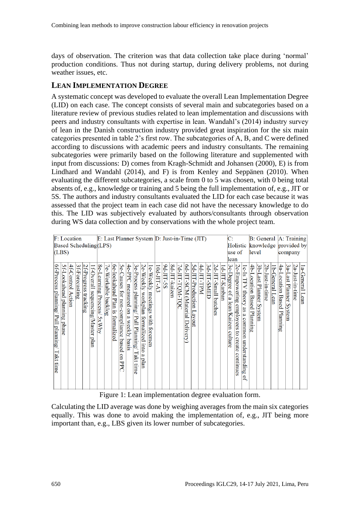days of observation. The criterion was that data collection take place during 'normal' production conditions. Thus not during startup, during delivery problems, not during weather issues, etc.

#### **LEAN IMPLEMENTATION DEGREE**

A systematic concept was developed to evaluate the overall Lean Implementation Degree (LID) on each case. The concept consists of several main and subcategories based on a literature review of previous studies related to lean implementation and discussions with peers and industry consultants with expertise in lean. Wandahl's (2014) industry survey of lean in the Danish construction industry provided great inspiration for the six main categories presented in table 2's first row. The subcategories of A, B, and C were defined according to discussions with academic peers and industry consultants. The remaining subcategories were primarily based on the following literature and supplemented with input from discussions: D) comes from Kragh-Schmidt and Johansen (2000), E) is from Lindhard and Wandahl (2014), and F) is from Kenley and Seppänen (2010). When evaluating the different subcategories, a scale from 0 to 5 was chosen, with 0 being total absents of, e.g., knowledge or training and 5 being the full implementation of, e.g., JIT or 5S. The authors and industry consultants evaluated the LID for each case because it was assessed that the project team in each case did not have the necessary knowledge to do this. The LID was subjectively evaluated by authors/consultants through observation during WS data collection and by conservations with the whole project team.

| <b>F:</b> Location                                                                                                                                                                                                                                                                                                                                                                                                         |                                                                                                                                                                            | E: Last Planner System D: Just-in-Time (JIT)                                                                                                                                               | C:                                                                                                                                                                            |                                                                                               | B: General A: Training                                                                            |
|----------------------------------------------------------------------------------------------------------------------------------------------------------------------------------------------------------------------------------------------------------------------------------------------------------------------------------------------------------------------------------------------------------------------------|----------------------------------------------------------------------------------------------------------------------------------------------------------------------------|--------------------------------------------------------------------------------------------------------------------------------------------------------------------------------------------|-------------------------------------------------------------------------------------------------------------------------------------------------------------------------------|-----------------------------------------------------------------------------------------------|---------------------------------------------------------------------------------------------------|
| Based Scheduling(LPS)                                                                                                                                                                                                                                                                                                                                                                                                      |                                                                                                                                                                            |                                                                                                                                                                                            | Holistic                                                                                                                                                                      |                                                                                               | knowledge provided by                                                                             |
| (LBS)                                                                                                                                                                                                                                                                                                                                                                                                                      |                                                                                                                                                                            |                                                                                                                                                                                            | use of                                                                                                                                                                        | level                                                                                         | company                                                                                           |
|                                                                                                                                                                                                                                                                                                                                                                                                                            |                                                                                                                                                                            |                                                                                                                                                                                            | lean                                                                                                                                                                          |                                                                                               |                                                                                                   |
| 4e-PPC measured on a weekly basis<br>4f-Control Action<br>$6e-$<br>6f-Process planning/ Pull planning/ Takt time<br>S<br>$\infty$<br>5e-Causes for non-compliance based<br>5f-Lookahead planning phase<br>3f-Forecasting<br>f-Progress tracking<br>$\mathbf{\varphi}$<br>ᠮ<br>የ<br>Overall sequencing/Master<br>lookahead Plan is formalized<br>Workable<br>Learning Process/<br>backlog<br><b>SxWhy</b><br>uerd<br>on PPC | 9d-JIT-5S<br>3e-Process planning/ Pull Planning/ Takt time<br>9<br>$0d$ -TTT-A3<br>e-Weekly workplan<br>Weekly meetings<br>with<br>formalized into<br>foremen<br>B<br>plan | 8d-JIT-kaizen<br>4d-ITP-TPM<br>$\bm{\omega}$<br>6d-JIT-SCM (Material<br>N<br>7d-JIT-TQM-TQC<br>d-JIT-SMED<br>d-JIT-Production<br>d-JIT-Small batches<br>d-JIT-Kanban<br>Layson<br>Delivery | $\boldsymbol{\omega}$<br>2c-Empowering employees to create<br>1c-Is TFV theory as a common<br>c-Degree of a lean/Kaizen culture<br>understanding<br>continues<br>$\mathbf{g}$ | 4b-Location Based Planning<br>3b-Last Planner System<br>N<br>b-General Lean<br>b-Just-in-time | 3a-Last Planner S<br>4a-Location Based<br>2a-Just-in-time<br>1a-General Lean<br>vstem<br>Planning |

Figure 1: Lean implementation degree evaluation form.

Calculating the LID average was done by weighing averages from the main six categories equally. This was done to avoid making the implementation of, e.g., JIT being more important than, e.g., LBS given its lower number of subcategories.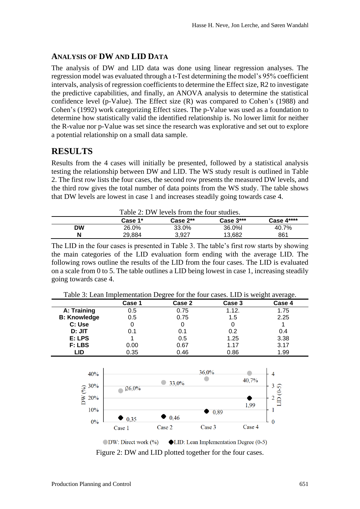#### **ANALYSIS OF DW AND LID DATA**

The analysis of DW and LID data was done using linear regression analyses. The regression model was evaluated through a t-Test determining the model's 95% coefficient intervals, analysis of regression coefficients to determine the Effect size, R2 to investigate the predictive capabilities, and finally, an ANOVA analysis to determine the statistical confidence level (p-Value). The Effect size (R) was compared to Cohen's (1988) and Cohen's (1992) work categorizing Effect sizes. The p-Value was used as a foundation to determine how statistically valid the identified relationship is. No lower limit for neither the R-value nor p-Value was set since the research was explorative and set out to explore a potential relationship on a small data sample.

## **RESULTS**

Results from the 4 cases will initially be presented, followed by a statistical analysis testing the relationship between DW and LID. The WS study result is outlined in Table 2. The first row lists the four cases, the second row presents the measured DW levels, and the third row gives the total number of data points from the WS study. The table shows that DW levels are lowest in case 1 and increases steadily going towards case 4.

|    | Table 2: DW levels from the four studies. |            |             |            |  |
|----|-------------------------------------------|------------|-------------|------------|--|
|    | Case 1*                                   | Case $2**$ | Case $3***$ | Case 4**** |  |
| DW | 26.0%                                     | 33.0%      | 36.0%l      | 40.7%      |  |

The LID in the four cases is presented in Table 3. The table's first row starts by showing the main categories of the LID evaluation form ending with the average LID. The following rows outline the results of the LID from the four cases. The LID is evaluated on a scale from 0 to 5. The table outlines a LID being lowest in case 1, increasing steadily going towards case 4.

**N** 29,884 3,927 13,682 861

|                     | Case 1 | Case 2 | Case 3 | Case 4 |
|---------------------|--------|--------|--------|--------|
| A: Training         | 0.5    | 0.75   | 1.12.  | 1.75   |
| <b>B: Knowledge</b> | 0.5    | 0.75   | 1.5    | 2.25   |
| C: Use              |        |        |        |        |
| D: JIT              | 0.1    | 0.1    | 0.2    | 0.4    |
| E: LPS              |        | 0.5    | 1.25   | 3.38   |
| F: LBS              | 0.00   | 0.67   | 1.17   | 3.17   |
| LID                 | 0.35   | 0.46   | 0.86   | 1.99   |



Figure 2: DW and LID plotted together for the four cases.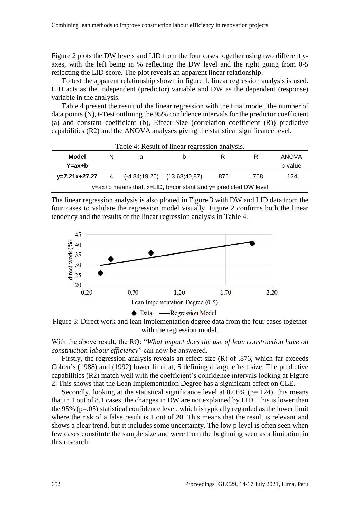Figure 2 plots the DW levels and LID from the four cases together using two different yaxes, with the left being in % reflecting the DW level and the right going from 0-5 reflecting the LID score. The plot reveals an apparent linear relationship.

To test the apparent relationship shown in figure 1, linear regression analysis is used. LID acts as the independent (predictor) variable and DW as the dependent (response) variable in the analysis.

Table 4 present the result of the linear regression with the final model, the number of data points (N), t-Test outlining the 95% confidence intervals for the predictor coefficient (a) and constant coefficient (b), Effect Size (correlation coefficient (R)) predictive capabilities (R2) and the ANOVA analyses giving the statistical significance level.

| Table 4: Result of linear regression analysis.                               |                |                                    |   |      |       |         |
|------------------------------------------------------------------------------|----------------|------------------------------------|---|------|-------|---------|
| Model                                                                        | N              | a                                  | h |      | $R^2$ | ANOVA   |
| $Y = ax + b$                                                                 |                |                                    |   |      |       | p-value |
| y=7.21x+27.27                                                                | $\overline{4}$ | $(-4.84; 19.26)$ $(13.68; 40, 87)$ |   | .876 | .768  | .124    |
| $y = ax + b$ means that, $x = L/D$ , b=constant and $y =$ predicted DW level |                |                                    |   |      |       |         |

The linear regression analysis is also plotted in Figure 3 with DW and LID data from the four cases to validate the regression model visually. Figure 2 confirms both the linear tendency and the results of the linear regression analysis in Table 4.



Figure 3: Direct work and lean implementation degree data from the four cases together with the regression model.

With the above result, the RQ: "*What impact does the use of lean construction have on construction labour efficiency*" can now be answered.

Firstly, the regression analysis reveals an effect size (R) of .876, which far exceeds Cohen's (1988) and (1992) lower limit at, 5 defining a large effect size. The predictive capabilities (R2) match well with the coefficient's confidence intervals looking at Figure 2. This shows that the Lean Implementation Degree has a significant effect on CLE.

Secondly, looking at the statistical significance level at  $87.6\%$  (p=.124), this means that in 1 out of 8.1 cases, the changes in DW are not explained by LID. This is lower than the 95%  $(p=.05)$  statistical confidence level, which is typically regarded as the lower limit where the risk of a false result is 1 out of 20. This means that the result is relevant and shows a clear trend, but it includes some uncertainty. The low p level is often seen when few cases constitute the sample size and were from the beginning seen as a limitation in this research.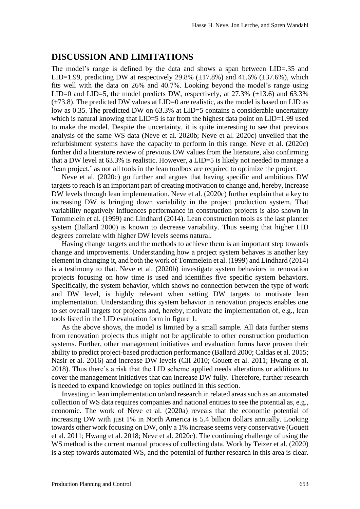#### **DISCUSSION AND LIMITATIONS**

The model's range is defined by the data and shows a span between LID=.35 and LID=1.99, predicting DW at respectively 29.8% ( $\pm$ 17.8%) and 41.6% ( $\pm$ 37.6%), which fits well with the data on 26% and 40.7%. Looking beyond the model's range using LID=0 and LID=5, the model predicts DW, respectively, at  $27.3\%$  ( $\pm$ 13.6) and 63.3%  $(\pm 73.8)$ . The predicted DW values at LID=0 are realistic, as the model is based on LID as low as 0.35. The predicted DW on 63.3% at LID=5 contains a considerable uncertainty which is natural knowing that  $LID=5$  is far from the highest data point on  $LID=1.99$  used to make the model. Despite the uncertainty, it is quite interesting to see that previous analysis of the same WS data (Neve et al. 2020b; Neve et al. 2020c) unveiled that the refurbishment systems have the capacity to perform in this range. Neve et al. (2020c) further did a literature review of previous DW values from the literature, also confirming that a DW level at 63.3% is realistic. However, a LID=5 is likely not needed to manage a 'lean project,' as not all tools in the lean toolbox are required to optimize the project.

Neve et al. (2020c) go further and argues that having specific and ambitious DW targets to reach is an important part of creating motivation to change and, hereby, increase DW levels through lean implementation. Neve et al. (2020c) further explain that a key to increasing DW is bringing down variability in the project production system. That variability negatively influences performance in construction projects is also shown in Tommelein et al. (1999) and Lindhard (2014). Lean construction tools as the last planner system (Ballard 2000) is known to decrease variability. Thus seeing that higher LID degrees correlate with higher DW levels seems natural.

Having change targets and the methods to achieve them is an important step towards change and improvements. Understanding how a project system behaves is another key element in changing it, and both the work of Tommelein et al. (1999) and Lindhard (2014) is a testimony to that. Neve et al. (2020b) investigate system behaviors in renovation projects focusing on how time is used and identifies five specific system behaviors. Specifically, the system behavior, which shows no connection between the type of work and DW level, is highly relevant when setting DW targets to motivate lean implementation. Understanding this system behavior in renovation projects enables one to set overall targets for projects and, hereby, motivate the implementation of, e.g., lean tools listed in the LID evaluation form in figure 1.

As the above shows, the model is limited by a small sample. All data further stems from renovation projects thus might not be applicable to other construction production systems. Further, other management initiatives and evaluation forms have proven their ability to predict project-based production performance (Ballard 2000; Caldas et al. 2015; Nasir et al. 2016) and increase DW levels (CII 2010; Gouett et al. 2011; Hwang et al. 2018). Thus there's a risk that the LID scheme applied needs alterations or additions to cover the management initiatives that can increase DW fully. Therefore, further research is needed to expand knowledge on topics outlined in this section.

Investing in lean implementation or/and research in related areas such as an automated collection of WS data requires companies and national entities to see the potential as, e.g., economic. The work of Neve et al. (2020a) reveals that the economic potential of increasing DW with just 1% in North America is 5.4 billion dollars annually. Looking towards other work focusing on DW, only a 1% increase seems very conservative (Gouett et al. 2011; Hwang et al. 2018; Neve et al. 2020c). The continuing challenge of using the WS method is the current manual process of collecting data. Work by Teizer et al. (2020) is a step towards automated WS, and the potential of further research in this area is clear.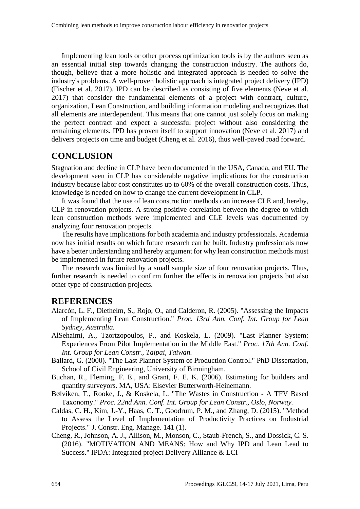Implementing lean tools or other process optimization tools is by the authors seen as an essential initial step towards changing the construction industry. The authors do, though, believe that a more holistic and integrated approach is needed to solve the industry's problems. A well-proven holistic approach is integrated project delivery (IPD) (Fischer et al. 2017). IPD can be described as consisting of five elements (Neve et al. 2017) that consider the fundamental elements of a project with contract, culture, organization, Lean Construction, and building information modeling and recognizes that all elements are interdependent. This means that one cannot just solely focus on making the perfect contract and expect a successful project without also considering the remaining elements. IPD has proven itself to support innovation (Neve et al. 2017) and delivers projects on time and budget (Cheng et al. 2016), thus well-paved road forward.

### **CONCLUSION**

Stagnation and decline in CLP have been documented in the USA, Canada, and EU. The development seen in CLP has considerable negative implications for the construction industry because labor cost constitutes up to 60% of the overall construction costs. Thus, knowledge is needed on how to change the current development in CLP.

It was found that the use of lean construction methods can increase CLE and, hereby, CLP in renovation projects. A strong positive correlation between the degree to which lean construction methods were implemented and CLE levels was documented by analyzing four renovation projects.

The results have implications for both academia and industry professionals. Academia now has initial results on which future research can be built. Industry professionals now have a better understanding and hereby argument for why lean construction methods must be implemented in future renovation projects.

The research was limited by a small sample size of four renovation projects. Thus, further research is needed to confirm further the effects in renovation projects but also other type of construction projects.

#### **REFERENCES**

- Alarcón, L. F., Diethelm, S., Rojo, O., and Calderon, R. (2005). "Assessing the Impacts of Implementing Lean Construction." *Proc. 13rd Ann. Conf. Int. Group for Lean Sydney, Australia.*
- AlSehaimi, A., Tzortzopoulos, P., and Koskela, L. (2009). "Last Planner System: Experiences From Pilot Implementation in the Middle East." *Proc. 17th Ann. Conf. Int. Group for Lean Constr., Taipai, Taiwan.*
- Ballard, G. (2000). "The Last Planner System of Production Control." PhD Dissertation, School of Civil Engineering, University of Birmingham.
- Buchan, R., Fleming, F. E., and Grant, F. E. K. (2006). Estimating for builders and quantity surveyors. MA, USA: Elsevier Butterworth-Heinemann.
- Bølviken, T., Rooke, J., & Koskela, L. "The Wastes in Construction A TFV Based Taxonomy." *Proc. 22nd Ann. Conf. Int. Group for Lean Constr., Oslo, Norway.*
- Caldas, C. H., Kim, J.-Y., Haas, C. T., Goodrum, P. M., and Zhang, D. (2015). "Method to Assess the Level of Implementation of Productivity Practices on Industrial Projects." J. Constr. Eng. Manage. 141 (1).
- Cheng, R., Johnson, A. J., Allison, M., Monson, C., Staub-French, S., and Dossick, C. S. (2016). "MOTIVATION AND MEANS: How and Why IPD and Lean Lead to Success." IPDA: Integrated project Delivery Alliance & LCI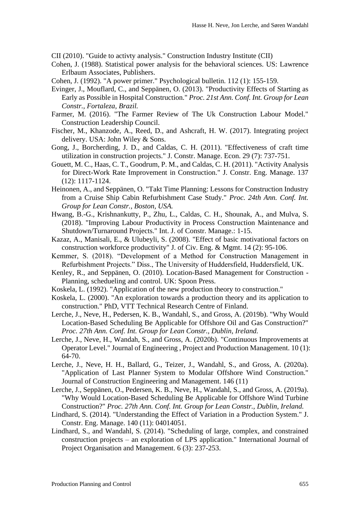CII (2010). "Guide to activty analysis." Construction Industry Institute (CII)

- Cohen, J. (1988). Statistical power analysis for the behavioral sciences. US: Lawrence Erlbaum Associates, Publishers.
- Cohen, J. (1992). "A power primer." Psychological bulletin. 112 (1): 155-159.
- Evinger, J., Mouflard, C., and Seppänen, O. (2013). "Productivity Effects of Starting as Early as Possible in Hospital Construction." *Proc. 21st Ann. Conf. Int. Group for Lean Constr., Fortaleza, Brazil.*
- Farmer, M. (2016). "The Farmer Review of The Uk Construction Labour Model." Construction Leadership Council.
- Fischer, M., Khanzode, A., Reed, D., and Ashcraft, H. W. (2017). Integrating project delivery. USA: John Wiley & Sons.
- Gong, J., Borcherding, J. D., and Caldas, C. H. (2011). "Effectiveness of craft time utilization in construction projects." J. Constr. Manage. Econ. 29 (7): 737-751.
- Gouett, M. C., Haas, C. T., Goodrum, P. M., and Caldas, C. H. (2011). "Activity Analysis for Direct-Work Rate Improvement in Construction." J. Constr. Eng. Manage. 137 (12): 1117-1124.
- Heinonen, A., and Seppänen, O. "Takt Time Planning: Lessons for Construction Industry from a Cruise Ship Cabin Refurbishment Case Study." *Proc. 24th Ann. Conf. Int. Group for Lean Constr., Boston, USA.*
- Hwang, B.-G., Krishnankutty, P., Zhu, L., Caldas, C. H., Shounak, A., and Mulva, S. (2018). "Improving Labour Productivity in Process Construction Maintenance and Shutdown/Turnaround Projects." Int. J. of Constr. Manage.: 1-15.
- Kazaz, A., Manisali, E., & Ulubeyli, S. (2008). "Effect of basic motivational factors on construction workforce productivity" J. of Civ. Eng. & Mgmt. 14 (2): 95-106.
- Kemmer, S. (2018). "Development of a Method for Construction Management in Refurbishment Projects." Diss., The University of Huddersfield, Huddersfield, UK.
- Kenley, R., and Seppänen, O. (2010). Location-Based Management for Construction Planning, schedueling and control. UK: Spoon Press.
- Koskela, L. (1992). "Application of the new production theory to construction."
- Koskela, L. (2000). "An exploration towards a production theory and its application to construction." PhD, VTT Technical Research Centre of Finland.
- Lerche, J., Neve, H., Pedersen, K. B., Wandahl, S., and Gross, A. (2019b). "Why Would Location-Based Scheduling Be Applicable for Offshore Oil and Gas Construction?" *Proc. 27th Ann. Conf. Int. Group for Lean Constr., Dublin, Ireland.*
- Lerche, J., Neve, H., Wandah, S., and Gross, A. (2020b). "Continuous Improvements at Operator Level." Journal of Engineering , Project and Production Management. 10 (1): 64-70.
- Lerche, J., Neve, H. H., Ballard, G., Teizer, J., Wandahl, S., and Gross, A. (2020a). "Application of Last Planner System to Modular Offshore Wind Construction." Journal of Construction Engineering and Management. 146 (11)
- Lerche, J., Seppänen, O., Pedersen, K. B., Neve, H., Wandahl, S., and Gross, A. (2019a). "Why Would Location-Based Scheduling Be Applicable for Offshore Wind Turbine Construction?" *Proc. 27th Ann. Conf. Int. Group for Lean Constr., Dublin, Ireland.*
- Lindhard, S. (2014). "Understanding the Effect of Variation in a Production System." J. Constr. Eng. Manage. 140 (11): 04014051.
- Lindhard, S., and Wandahl, S. (2014). "Scheduling of large, complex, and constrained construction projects – an exploration of LPS application." International Journal of Project Organisation and Management. 6 (3): 237-253.